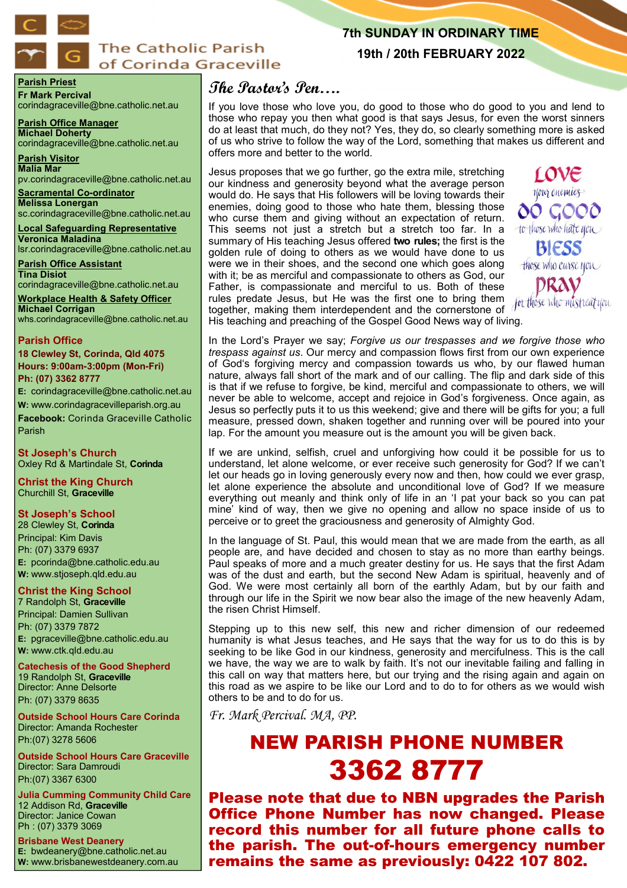

# **The Catholic Parish** of Corinda Graceville

# **7th SUNDAY IN ORDINARY TIME**

**19th / 20th FEBRUARY 2022**

**Parish Priest Fr Mark Percival** corindagraceville@bne.catholic.net.au

**Parish Office Manager Michael Doherty** corindagraceville@bne.catholic.net.au

**Parish Visitor Malia Mar**  pv.corindagraceville@bne.catholic.net.au

**Sacramental Co-ordinator Melissa Lonergan**  sc.corindagraceville@bne.catholic.net.au

**Local Safeguarding Representative Veronica Maladina** lsr.corindagraceville@bne.catholic.net.au

**Parish Office Assistant Tina Disiot**  corindagraceville@bne.catholic.net.au

**Workplace Health & Safety Officer Michael Corrigan** whs.corindagraceville@bne.catholic.net.au

#### **Parish Office**

**18 Clewley St, Corinda, Qld 4075 Hours: 9:00am-3:00pm (Mon-Fri) Ph: (07) 3362 8777**

**E:** corindagraceville@bne.catholic.net.au **W:** www.corindagracevilleparish.org.au **Facebook:** Corinda Graceville Catholic Parish

**St Joseph's Church** Oxley Rd & Martindale St, **Corinda**

**Christ the King Church** Churchill St, **Graceville**

## **St Joseph's School**

28 Clewley St, **Corinda** Principal: Kim Davis Ph: (07) 3379 6937 **E:** pcorinda@bne.catholic.edu.au **W:** www.stjoseph.qld.edu.au

# **Christ the King School**

7 Randolph St, **Graceville** Principal: Damien Sullivan Ph: (07) 3379 7872 **E:** pgraceville@bne.catholic.edu.au **W:** www.ctk.qld.edu.au

**Catechesis of the Good Shepherd**  19 Randolph St, **Graceville**  Director: Anne Delsorte Ph: (07) 3379 8635

**Outside School Hours Care Corinda**  Director: Amanda Rochester Ph:(07) 3278 5606

**Outside School Hours Care Graceville**  Director: Sara Damroudi Ph:(07) 3367 6300

**Julia Cumming Community Child Care**  12 Addison Rd, **Graceville**  Director: Janice Cowan Ph : (07) 3379 3069

**Brisbane West Deanery E:** bwdeanery@bne.catholic.net.au **W:** www.brisbanewestdeanery.com.au

# **The Pastor's Pen….**

If you love those who love you, do good to those who do good to you and lend to those who repay you then what good is that says Jesus, for even the worst sinners do at least that much, do they not? Yes, they do, so clearly something more is asked of us who strive to follow the way of the Lord, something that makes us different and offers more and better to the world.

Jesus proposes that we go further, go the extra mile, stretching our kindness and generosity beyond what the average person would do. He says that His followers will be loving towards their enemies, doing good to those who hate them, blessing those who curse them and giving without an expectation of return. This seems not just a stretch but a stretch too far. In a summary of His teaching Jesus offered **two rules;** the first is the golden rule of doing to others as we would have done to us were we in their shoes, and the second one which goes along with it; be as merciful and compassionate to others as God, our Father, is compassionate and merciful to us. Both of these rules predate Jesus, but He was the first one to bring them together, making them interdependent and the cornerstone of His teaching and preaching of the Gospel Good News way of living.

<u>rove</u> your enemies 00 GOO0 to those who hate you **BIESS** those who curse you DRAV

In the Lord's Prayer we say; *Forgive us our trespasses and we forgive those who trespass against us*. Our mercy and compassion flows first from our own experience of God's forgiving mercy and compassion towards us who, by our flawed human nature, always fall short of the mark and of our calling. The flip and dark side of this is that if we refuse to forgive, be kind, merciful and compassionate to others, we will never be able to welcome, accept and rejoice in God's forgiveness. Once again, as Jesus so perfectly puts it to us this weekend; give and there will be gifts for you; a full measure, pressed down, shaken together and running over will be poured into your lap. For the amount you measure out is the amount you will be given back.

If we are unkind, selfish, cruel and unforgiving how could it be possible for us to understand, let alone welcome, or ever receive such generosity for God? If we can't let our heads go in loving generously every now and then, how could we ever grasp, let alone experience the absolute and unconditional love of God? If we measure everything out meanly and think only of life in an 'I pat your back so you can pat mine' kind of way, then we give no opening and allow no space inside of us to perceive or to greet the graciousness and generosity of Almighty God.

In the language of St. Paul, this would mean that we are made from the earth, as all people are, and have decided and chosen to stay as no more than earthy beings. Paul speaks of more and a much greater destiny for us. He says that the first Adam was of the dust and earth, but the second New Adam is spiritual, heavenly and of God. We were most certainly all born of the earthly Adam, but by our faith and through our life in the Spirit we now bear also the image of the new heavenly Adam, the risen Christ Himself.

Stepping up to this new self, this new and richer dimension of our redeemed humanity is what Jesus teaches, and He says that the way for us to do this is by seeking to be like God in our kindness, generosity and mercifulness. This is the call we have, the way we are to walk by faith. It's not our inevitable failing and falling in this call on way that matters here, but our trying and the rising again and again on this road as we aspire to be like our Lord and to do to for others as we would wish others to be and to do for us.

*Fr. Mark Percival. MA, PP.* 

# NEW PARISH PHONE NUMBER 3362 8777

Please note that due to NBN upgrades the Parish Office Phone Number has now changed. Please record this number for all future phone calls to the parish. The out-of-hours emergency number remains the same as previously: 0422 107 802.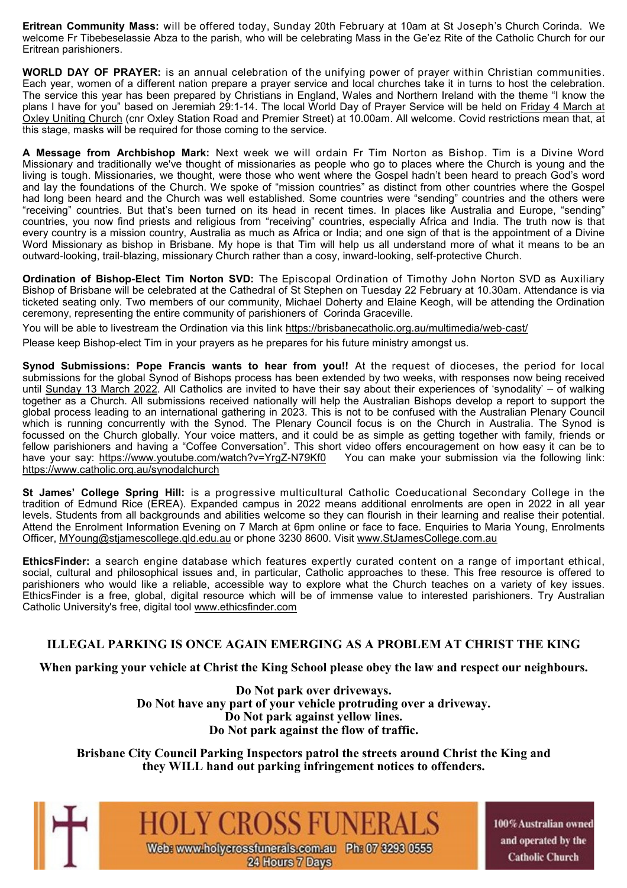**Eritrean Community Mass:** will be offered today, Sunday 20th February at 10am at St Joseph's Church Corinda. We welcome Fr Tibebeselassie Abza to the parish, who will be celebrating Mass in the Ge'ez Rite of the Catholic Church for our Eritrean parishioners.

**WORLD DAY OF PRAYER:** is an annual celebration of the unifying power of prayer within Christian communities. Each year, women of a different nation prepare a prayer service and local churches take it in turns to host the celebration. The service this year has been prepared by Christians in England, Wales and Northern Ireland with the theme "I know the plans I have for you" based on Jeremiah 29:1-14. The local World Day of Prayer Service will be held on Friday 4 March at Oxley Uniting Church (cnr Oxley Station Road and Premier Street) at 10.00am. All welcome. Covid restrictions mean that, at this stage, masks will be required for those coming to the service.

**A Message from Archbishop Mark:** Next week we will ordain Fr Tim Norton as Bishop. Tim is a Divine Word Missionary and traditionally we've thought of missionaries as people who go to places where the Church is young and the living is tough. Missionaries, we thought, were those who went where the Gospel hadn't been heard to preach God's word and lay the foundations of the Church. We spoke of "mission countries" as distinct from other countries where the Gospel had long been heard and the Church was well established. Some countries were "sending" countries and the others were "receiving" countries. But that's been turned on its head in recent times. In places like Australia and Europe, "sending" countries, you now find priests and religious from "receiving" countries, especially Africa and India. The truth now is that every country is a mission country, Australia as much as Africa or India; and one sign of that is the appointment of a Divine Word Missionary as bishop in Brisbane. My hope is that Tim will help us all understand more of what it means to be an outward-looking, trail-blazing, missionary Church rather than a cosy, inward-looking, self-protective Church.

**Ordination of Bishop-Elect Tim Norton SVD:** The Episcopal Ordination of Timothy John Norton SVD as Auxiliary Bishop of Brisbane will be celebrated at the Cathedral of St Stephen on Tuesday 22 February at 10.30am. Attendance is via ticketed seating only. Two members of our community, Michael Doherty and Elaine Keogh, will be attending the Ordination ceremony, representing the entire community of parishioners of Corinda Graceville.

You will be able to livestream the Ordination via this link https://brisbanecatholic.org.au/multimedia/web-cast/

Please keep Bishop-elect Tim in your prayers as he prepares for his future ministry amongst us.

**Synod Submissions: Pope Francis wants to hear from you!!** At the request of dioceses, the period for local submissions for the global Synod of Bishops process has been extended by two weeks, with responses now being received until Sunday 13 March 2022. All Catholics are invited to have their say about their experiences of 'synodality' – of walking together as a Church. All submissions received nationally will help the Australian Bishops develop a report to support the global process leading to an international gathering in 2023. This is not to be confused with the Australian Plenary Council which is running concurrently with the Synod. The Plenary Council focus is on the Church in Australia. The Synod is focussed on the Church globally. Your voice matters, and it could be as simple as getting together with family, friends or fellow parishioners and having a "Coffee Conversation". This short video offers encouragement on how easy it can be to have your say: https://www.youtube.com/watch?v=YrgZ-N79Kf0 You can make your submission via the following link: https://www.catholic.org.au/synodalchurch

**St James' College Spring Hill:** is a progressive multicultural Catholic Coeducational Secondary College in the tradition of Edmund Rice (EREA). Expanded campus in 2022 means additional enrolments are open in 2022 in all year levels. Students from all backgrounds and abilities welcome so they can flourish in their learning and realise their potential. Attend the Enrolment Information Evening on 7 March at 6pm online or face to face. Enquiries to Maria Young, Enrolments Officer, MYoung@stjamescollege.qld.edu.au or phone 3230 8600. Visit www.StJamesCollege.com.au

**EthicsFinder:** a search engine database which features expertly curated content on a range of important ethical, social, cultural and philosophical issues and, in particular, Catholic approaches to these. This free resource is offered to parishioners who would like a reliable, accessible way to explore what the Church teaches on a variety of key issues. EthicsFinder is a free, global, digital resource which will be of immense value to interested parishioners. Try Australian Catholic University's free, digital tool www.ethicsfinder.com

# **ILLEGAL PARKING IS ONCE AGAIN EMERGING AS A PROBLEM AT CHRIST THE KING**

**When parking your vehicle at Christ the King School please obey the law and respect our neighbours.**

**Do Not park over driveways. Do Not have any part of your vehicle protruding over a driveway. Do Not park against yellow lines. Do Not park against the flow of traffic.**

**Brisbane City Council Parking Inspectors patrol the streets around Christ the King and they WILL hand out parking infringement notices to offenders.**



100% Australian owned and operated by the **Catholic Church**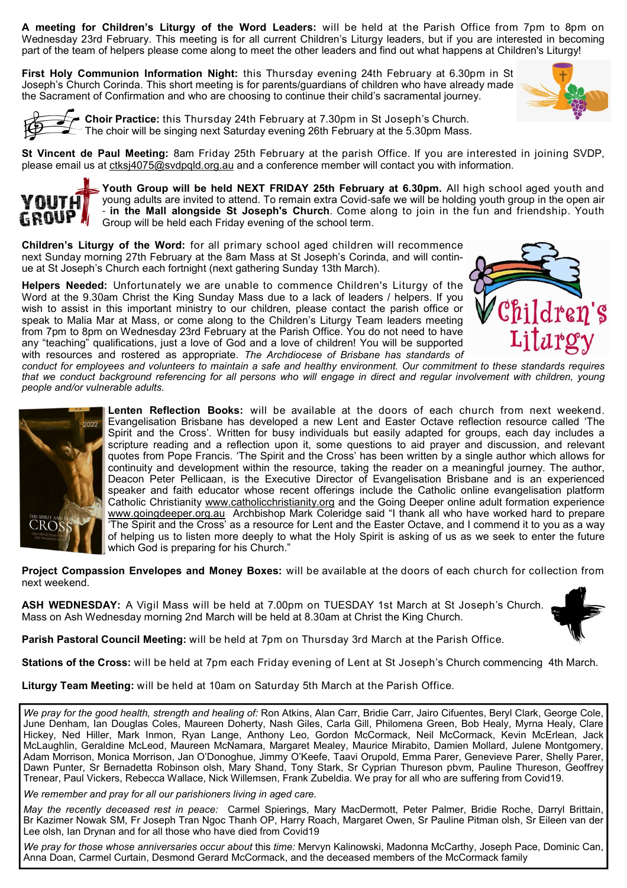**A meeting for Children's Liturgy of the Word Leaders:** will be held at the Parish Office from 7pm to 8pm on Wednesday 23rd February. This meeting is for all current Children's Liturgy leaders, but if you are interested in becoming part of the team of helpers please come along to meet the other leaders and find out what happens at Children's Liturgy!

**First Holy Communion Information Night:** this Thursday evening 24th February at 6.30pm in St Joseph's Church Corinda. This short meeting is for parents/guardians of children who have already made the Sacrament of Confirmation and who are choosing to continue their child's sacramental journey.





**Choir Practice:** this Thursday 24th February at 7.30pm in St Joseph's Church. The choir will be singing next Saturday evening 26th February at the 5.30pm Mass.

**St Vincent de Paul Meeting:** 8am Friday 25th February at the parish Office. If you are interested in joining SVDP, please email us at ctksj4075@svdpqld.org.au and a conference member will contact you with information.



**Youth Group will be held NEXT FRIDAY 25th February at 6.30pm.** All high school aged youth and young adults are invited to attend. To remain extra Covid-safe we will be holding youth group in the open air - **in the Mall alongside St Joseph's Church**. Come along to join in the fun and friendship. Youth Group will be held each Friday evening of the school term.

**Children's Liturgy of the Word:** for all primary school aged children will recommence next Sunday morning 27th February at the 8am Mass at St Joseph's Corinda, and will continue at St Joseph's Church each fortnight (next gathering Sunday 13th March).

**Helpers Needed:** Unfortunately we are unable to commence Children's Liturgy of the Word at the 9.30am Christ the King Sunday Mass due to a lack of leaders / helpers. If you wish to assist in this important ministry to our children, please contact the parish office or speak to Malia Mar at Mass, or come along to the Children's Liturgy Team leaders meeting from 7pm to 8pm on Wednesday 23rd February at the Parish Office. You do not need to have any "teaching" qualifications, just a love of God and a love of children! You will be supported with resources and rostered as appropriate. *The Archdiocese of Brisbane has standards of* 



*conduct for employees and volunteers to maintain a safe and healthy environment. Our commitment to these standards requires that we conduct background referencing for all persons who will engage in direct and regular involvement with children, young people and/or vulnerable adults.* 



**Lenten Reflection Books:** will be available at the doors of each church from next weekend. Evangelisation Brisbane has developed a new Lent and Easter Octave reflection resource called 'The Spirit and the Cross'. Written for busy individuals but easily adapted for groups, each day includes a scripture reading and a reflection upon it, some questions to aid prayer and discussion, and relevant quotes from Pope Francis. 'The Spirit and the Cross' has been written by a single author which allows for continuity and development within the resource, taking the reader on a meaningful journey. The author, Deacon Peter Pellicaan, is the Executive Director of Evangelisation Brisbane and is an experienced speaker and faith educator whose recent offerings include the Catholic online evangelisation platform Catholic Christianity www.catholicchristianity.org and the Going Deeper online adult formation experience www.goingdeeper.org.au Archbishop Mark Coleridge said "I thank all who have worked hard to prepare 'The Spirit and the Cross' as a resource for Lent and the Easter Octave, and I commend it to you as a way of helping us to listen more deeply to what the Holy Spirit is asking of us as we seek to enter the future which God is preparing for his Church."

**Project Compassion Envelopes and Money Boxes:** will be available at the doors of each church for collection from next weekend.

**ASH WEDNESDAY:** A Vigil Mass will be held at 7.00pm on TUESDAY 1st March at St Joseph's Church. Mass on Ash Wednesday morning 2nd March will be held at 8.30am at Christ the King Church.

**Parish Pastoral Council Meeting:** will be held at 7pm on Thursday 3rd March at the Parish Office.

**Stations of the Cross:** will be held at 7pm each Friday evening of Lent at St Joseph's Church commencing 4th March.

**Liturgy Team Meeting:** will be held at 10am on Saturday 5th March at the Parish Office.

*We pray for the good health, strength and healing of:* Ron Atkins, Alan Carr, Bridie Carr, Jairo Cifuentes, Beryl Clark, George Cole, June Denham, Ian Douglas Coles, Maureen Doherty, Nash Giles, Carla Gill, Philomena Green, Bob Healy, Myrna Healy, Clare Hickey, Ned Hiller, Mark Inmon, Ryan Lange, Anthony Leo, Gordon McCormack, Neil McCormack, Kevin McErlean, Jack McLaughlin, Geraldine McLeod, Maureen McNamara, Margaret Mealey, Maurice Mirabito, Damien Mollard, Julene Montgomery, Adam Morrison, Monica Morrison, Jan O'Donoghue, Jimmy O'Keefe, Taavi Orupold, Emma Parer, Genevieve Parer, Shelly Parer, Dawn Punter, Sr Bernadetta Robinson olsh, Mary Shand, Tony Stark, Sr Cyprian Thureson pbvm, Pauline Thureson, Geoffrey Trenear, Paul Vickers, Rebecca Wallace, Nick Willemsen, Frank Zubeldia. We pray for all who are suffering from Covid19.

*We remember and pray for all our parishioners living in aged care.* 

*May the recently deceased rest in peace:* Carmel Spierings, Mary MacDermott, Peter Palmer, Bridie Roche, Darryl Brittain, Br Kazimer Nowak SM, Fr Joseph Tran Ngoc Thanh OP, Harry Roach, Margaret Owen, Sr Pauline Pitman olsh, Sr Eileen van der Lee olsh, Ian Drynan and for all those who have died from Covid19

*We pray for those whose anniversaries occur about* this *time:* Mervyn Kalinowski, Madonna McCarthy, Joseph Pace, Dominic Can, Anna Doan, Carmel Curtain, Desmond Gerard McCormack, and the deceased members of the McCormack family